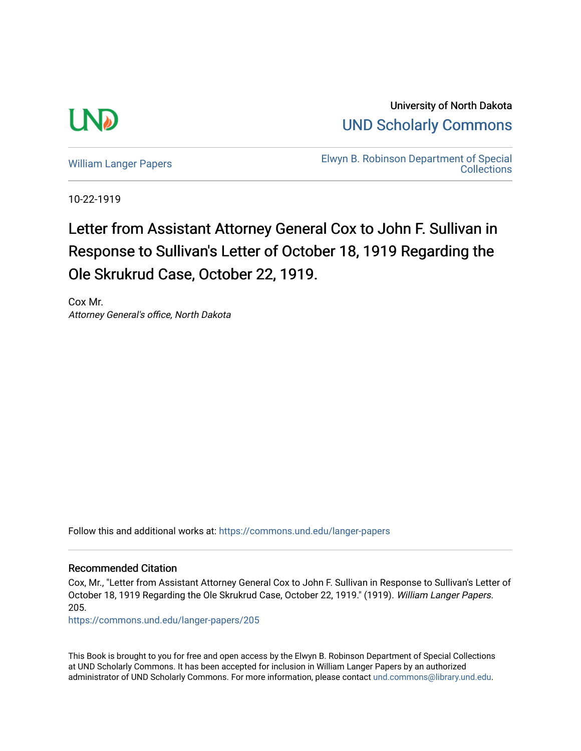

University of North Dakota [UND Scholarly Commons](https://commons.und.edu/) 

[William Langer Papers](https://commons.und.edu/langer-papers) **Elwyn B. Robinson Department of Special Collections** 

10-22-1919

## Letter from Assistant Attorney General Cox to John F. Sullivan in Response to Sullivan's Letter of October 18, 1919 Regarding the Ole Skrukrud Case, October 22, 1919.

Cox Mr. Attorney General's office, North Dakota

Follow this and additional works at: [https://commons.und.edu/langer-papers](https://commons.und.edu/langer-papers?utm_source=commons.und.edu%2Flanger-papers%2F205&utm_medium=PDF&utm_campaign=PDFCoverPages) 

## Recommended Citation

Cox, Mr., "Letter from Assistant Attorney General Cox to John F. Sullivan in Response to Sullivan's Letter of October 18, 1919 Regarding the Ole Skrukrud Case, October 22, 1919." (1919). William Langer Papers. 205.

[https://commons.und.edu/langer-papers/205](https://commons.und.edu/langer-papers/205?utm_source=commons.und.edu%2Flanger-papers%2F205&utm_medium=PDF&utm_campaign=PDFCoverPages) 

This Book is brought to you for free and open access by the Elwyn B. Robinson Department of Special Collections at UND Scholarly Commons. It has been accepted for inclusion in William Langer Papers by an authorized administrator of UND Scholarly Commons. For more information, please contact [und.commons@library.und.edu.](mailto:und.commons@library.und.edu)